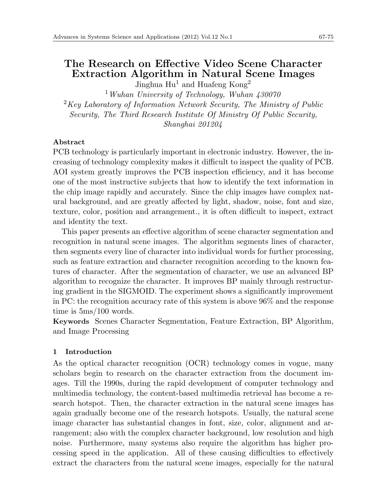# **The Research on Effective Video Scene Character Extraction Algorithm in Natural Scene Images**

Jinghua  $\text{Hu}^1$  and Huafeng Kong<sup>2</sup>

<sup>1</sup>*Wuhan University of Technology, Wuhan 430070* <sup>2</sup>*Key Laboratory of Information Network Security, The Ministry of Public Security, The Third Research Institute Of Ministry Of Public Security, Shanghai 201204*

### **Abstract**

PCB technology is particularly important in electronic industry. However, the increasing of technology complexity makes it difficult to inspect the quality of PCB. AOI system greatly improves the PCB inspection efficiency, and it has become one of the most instructive subjects that how to identify the text information in the chip image rapidly and accurately. Since the chip images have complex natural background, and are greatly affected by light, shadow, noise, font and size, texture, color, position and arrangement., it is often difficult to inspect, extract and identity the text.

This paper presents an effective algorithm of scene character segmentation and recognition in natural scene images. The algorithm segments lines of character, then segments every line of character into individual words for further processing, such as feature extraction and character recognition according to the known features of character. After the segmentation of character, we use an advanced BP algorithm to recognize the character. It improves BP mainly through restructuring gradient in the SIGMOID. The experiment shows a significantly improvement in PC: the recognition accuracy rate of this system is above 96% and the response time is 5ms/100 words.

**Keywords** Scenes Character Segmentation, Feature Extraction, BP Algorithm, and Image Processing

#### **1 Introduction**

As the optical character recognition (OCR) technology comes in vogue, many scholars begin to research on the character extraction from the document images. Till the 1990s, during the rapid development of computer technology and multimedia technology, the content-based multimedia retrieval has become a research hotspot. Then, the character extraction in the natural scene images has again gradually become one of the research hotspots. Usually, the natural scene image character has substantial changes in font, size, color, alignment and arrangement; also with the complex character background, low resolution and high noise. Furthermore, many systems also require the algorithm has higher processing speed in the application. All of these causing difficulties to effectively extract the characters from the natural scene images, especially for the natural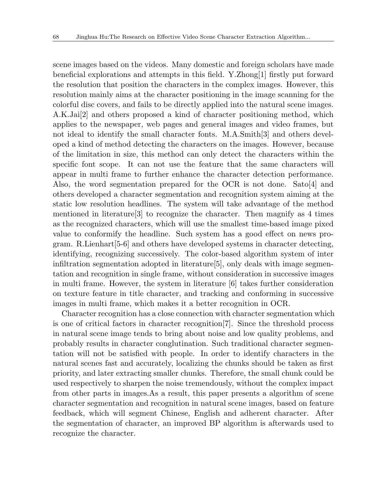scene images based on the videos. Many domestic and foreign scholars have made beneficial explorations and attempts in this field. Y.Zhong[1] firstly put forward the resolution that position the characters in the complex images. However, this resolution mainly aims at the character positioning in the image scanning for the colorful disc covers, and fails to be directly applied into the natural scene images. A.K.Jai[2] and others proposed a kind of character positioning method, which applies to the newspaper, web pages and general images and video frames, but not ideal to identify the small character fonts. M.A.Smith[3] and others developed a kind of method detecting the characters on the images. However, because of the limitation in size, this method can only detect the characters within the specific font scope. It can not use the feature that the same characters will appear in multi frame to further enhance the character detection performance. Also, the word segmentation prepared for the OCR is not done. Sato[4] and others developed a character segmentation and recognition system aiming at the static low resolution headlines. The system will take advantage of the method mentioned in literature[3] to recognize the character. Then magnify as 4 times as the recognized characters, which will use the smallest time-based image pixed value to conformify the headline. Such system has a good effect on news program. R.Lienhart[5-6] and others have developed systems in character detecting, identifying, recognizing successively. The color-based algorithm system of inter infiltration segmentation adopted in literature[5], only deals with image segmentation and recognition in single frame, without consideration in successive images in multi frame. However, the system in literature [6] takes further consideration on texture feature in title character, and tracking and conforming in successive images in multi frame, which makes it a better recognition in OCR.

Character recognition has a close connection with character segmentation which is one of critical factors in character recognition[7]. Since the threshold process in natural scene image tends to bring about noise and low quality problems, and probably results in character conglutination. Such traditional character segmentation will not be satisfied with people. In order to identify characters in the natural scenes fast and accurately, localizing the chunks should be taken as first priority, and later extracting smaller chunks. Therefore, the small chunk could be used respectively to sharpen the noise tremendously, without the complex impact from other parts in images.As a result, this paper presents a algorithm of scene character segmentation and recognition in natural scene images, based on feature feedback, which will segment Chinese, English and adherent character. After the segmentation of character, an improved BP algorithm is afterwards used to recognize the character.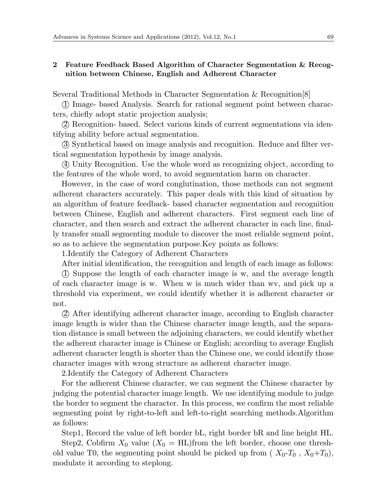## **2 Feature Feedback Based Algorithm of Character Segmentation & Recognition between Chinese, English and Adherent Character**

Several Traditional Methods in Character Segmentation & Recognition[8]

*⃝*1 Image- based Analysis. Search for rational segment point between characters, chiefly adopt static projection analysis;

*⃝*2 Recognition- based. Select various kinds of current segmentations via identifying ability before actual segmentation.

*⃝*3 Synthetical based on image analysis and recognition. Reduce and filter vertical segmentation hypothesis by image analysis.

*⃝*4 Unity Recognition. Use the whole word as recognizing object, according to the features of the whole word, to avoid segmentation harm on character.

However, in the case of word conglutination, those methods can not segment adherent characters accurately. This paper deals with this kind of situation by an algorithm of feature feedback- based character segmentation and recognition between Chinese, English and adherent characters. First segment each line of character, and then search and extract the adherent character in each line, finally transfer small segmenting module to discover the most reliable segment point, so as to achieve the segmentation purpose.Key points as follows:

1.Identify the Category of Adherent Characters

After initial identification, the recognition and length of each image as follows:

*⃝*1 Suppose the length of each character image is w, and the average length of each character image is w. When w is much wider than wv, and pick up a threshold via experiment, we could identify whether it is adherent character or not.

*⃝*2 After identifying adherent character image, according to English character image length is wider than the Chinese character image length, and the separation distance is small between the adjoining characters, we could identify whether the adherent character image is Chinese or English; according to average English adherent character length is shorter than the Chinese one, we could identify those character images with wrong structure as adherent character image.

2.Identify the Category of Adherent Characters

For the adherent Chinese character, we can segment the Chinese character by judging the potential character image length. We use identifying module to judge the border to segment the character. In this process, we confirm the most reliable segmenting point by right-to-left and left-to-right searching methods.Algorithm as follows:

Step1, Record the value of left border bL, right border bR and line height HL. Step2, Cobfirm  $X_0$  value  $(X_0 = HL)$ from the left border, choose one threshold value T0, the segmenting point should be picked up from  $(X_0-T_0, X_0+T_0)$ , modulate it according to steplong.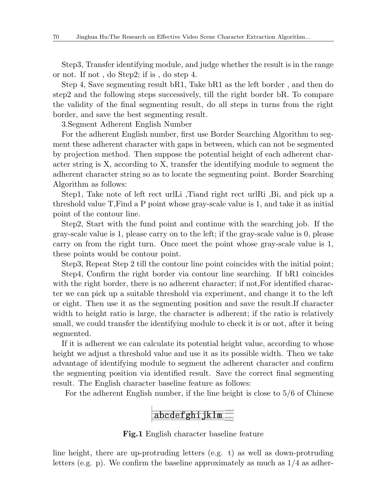Step3, Transfer identifying module, and judge whether the result is in the range or not. If not , do Step2; if is , do step 4.

Step 4, Save segmenting result bR1, Take bR1 as the left border , and then do step2 and the following steps successively, till the right border bR. To compare the validity of the final segmenting result, do all steps in turns from the right border, and save the best segmenting result.

3.Segment Adherent English Number

For the adherent English number, first use Border Searching Algorithm to segment these adherent character with gaps in between, which can not be segmented by projection method. Then suppose the potential height of each adherent character string is X, according to X, transfer the identifying module to segment the adherent character string so as to locate the segmenting point. Border Searching Algorithm as follows:

Step1, Take note of left rect urlLi ,Tiand right rect urlRi ,Bi, and pick up a threshold value T,Find a P point whose gray-scale value is 1, and take it as initial point of the contour line.

Step2, Start with the fund point and continue with the searching job. If the gray-scale value is 1, please carry on to the left; if the gray-scale value is 0, please carry on from the right turn. Once meet the point whose gray-scale value is 1, these points would be contour point.

Step3, Repeat Step 2 till the contour line point coincides with the initial point; Step4, Confirm the right border via contour line searching. If bR1 coincides with the right border, there is no adherent character; if not, For identified character we can pick up a suitable threshold via experiment, and change it to the left or eight. Then use it as the segmenting position and save the result.If character width to height ratio is large, the character is adherent; if the ratio is relatively small, we could transfer the identifying module to check it is or not, after it being segmented.

If it is adherent we can calculate its potential height value, according to whose height we adjust a threshold value and use it as its possible width. Then we take advantage of identifying module to segment the adherent character and confirm the segmenting position via identified result. Save the correct final segmenting result. The English character baseline feature as follows:

For the adherent English number, if the line height is close to 5/6 of Chinese

# abcdefghijklm

**Fig.1** English character baseline feature

line height, there are up-protruding letters (e.g. t) as well as down-protruding letters (e.g. p). We confirm the baseline approximately as much as 1/4 as adher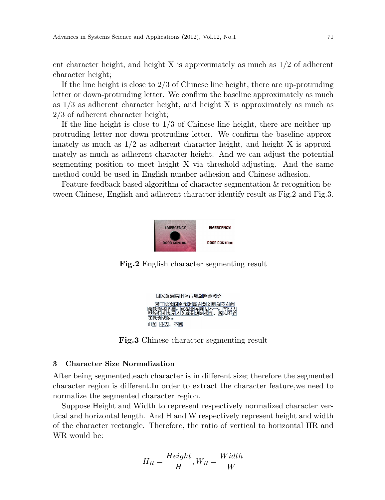ent character height, and height X is approximately as much as 1/2 of adherent character height;

If the line height is close to  $2/3$  of Chinese line height, there are up-protruding letter or down-protruding letter. We confirm the baseline approximately as much as 1/3 as adherent character height, and height X is approximately as much as 2/3 of adherent character height;

If the line height is close to  $1/3$  of Chinese line height, there are neither upprotruding letter nor down-protruding letter. We confirm the baseline approximately as much as  $1/2$  as adherent character height, and height X is approximately as much as adherent character height. And we can adjust the potential segmenting position to meet height X via threshold-adjusting. And the same method could be used in English number adhesion and Chinese adhesion.

Feature feedback based algorithm of character segmentation & recognition between Chinese, English and adherent character identify result as Fig.2 and Fig.3.



**Fig.2** English character segmenting result



**Fig.3** Chinese character segmenting result

### **3 Character Size Normalization**

After being segmented,each character is in different size; therefore the segmented character region is different.In order to extract the character feature,we need to normalize the segmented character region.

Suppose Height and Width to represent respectively normalized character vertical and horizontal length. And H and W respectively represent height and width of the character rectangle. Therefore, the ratio of vertical to horizontal HR and WR would be:

$$
H_R = \frac{Height}{H}, W_R = \frac{Width}{W}
$$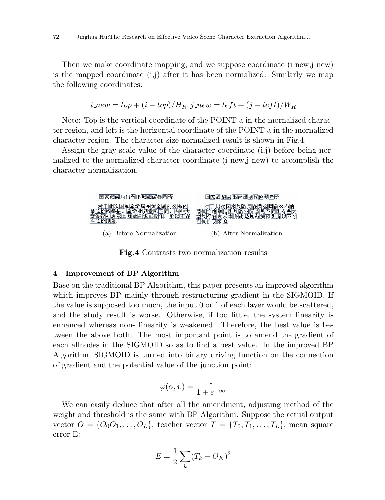Then we make coordinate mapping, and we suppose coordinate (i\_new,j\_new) is the mapped coordinate (i,j) after it has been normalized. Similarly we map the following coordinates:

$$
i\_new = top + (i - top)/H_R, j\_new = left + (j - left)/W_R
$$

Note: Top is the vertical coordinate of the POINT a in the mornalized character region, and left is the horizontal coordinate of the POINT a in the mornalized character region. The character size normalized result is shown in Fig.4.

Assign the gray-scale value of the character coordinate (i,j) before being normalized to the normalized character coordinate (i\_new,j\_new) to accomplish the character normalization.



**Fig.4** Contrasts two normalization results

### **4 Improvement of BP Algorithm**

Base on the traditional BP Algorithm, this paper presents an improved algorithm which improves BP mainly through restructuring gradient in the SIGMOID. If the value is supposed too much, the input 0 or 1 of each layer would be scattered, and the study result is worse. Otherwise, if too little, the system linearity is enhanced whereas non- linearity is weakened. Therefore, the best value is between the above both. The most important point is to amend the gradient of each allnodes in the SIGMOID so as to find a best value. In the improved BP Algorithm, SIGMOID is turned into binary driving function on the connection of gradient and the potential value of the junction point:

$$
\varphi(\alpha, \upsilon) = \frac{1}{1 + e^{-\infty}}
$$

We can easily deduce that after all the amendment, adjusting method of the weight and threshold is the same with BP Algorithm. Suppose the actual output vector  $O = \{O_0O_1, \ldots, O_L\}$ , teacher vector  $T = \{T_0, T_1, \ldots, T_L\}$ , mean square error E:

$$
E = \frac{1}{2} \sum_{k} (T_k - O_K)^2
$$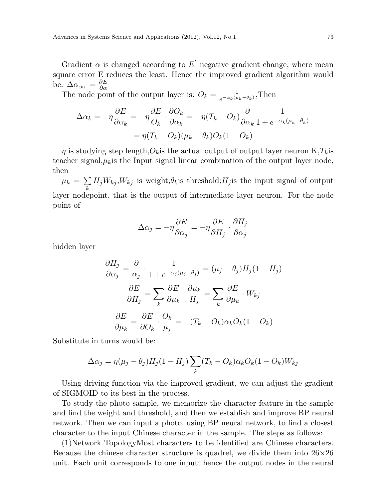Gradient  $\alpha$  is changed according to  $E'$  negative gradient change, where mean square error E reduces the least. Hence the improved gradient algorithm would be:  $\Delta \alpha_{\infty} = \frac{\partial E}{\partial \alpha}$ 

The node point of the output layer is:  $O_k = \frac{1}{e^{-\alpha_k(\mu)}}$  $\frac{1}{e^{-\alpha_k(\mu_k-\theta_k)}}$ ,Then

$$
\Delta \alpha_k = -\eta \frac{\partial E}{\partial \alpha_k} = -\eta \frac{\partial E}{\partial k} \cdot \frac{\partial O_k}{\partial \alpha_k} = -\eta (T_k - O_k) \frac{\partial}{\partial \alpha_k} \frac{1}{1 + e^{-\alpha_k(\mu_k - \theta_k)}}
$$

$$
= \eta (T_k - O_k)(\mu_k - \theta_k) O_k(1 - O_k)
$$

*η* is studying step length, $O_k$  is the actual output of output layer neuron  $K$ , $T_k$  is teacher signal, $\mu_k$  is the Input signal linear combination of the output layer node, then

 $\mu_k = \sum$ *k*  $H_jW_{kj}$ , *W<sub>kj</sub>* is weight;  $\theta_k$  is threshold;  $H_j$  is the input signal of output layer nodepoint, that is the output of intermediate layer neuron. For the node point of

$$
\Delta \alpha_j = -\eta \frac{\partial E}{\partial \alpha_j} = -\eta \frac{\partial E}{\partial H_j} \cdot \frac{\partial H_j}{\partial \alpha_j}
$$

hidden layer

$$
\frac{\partial H_j}{\partial \alpha_j} = \frac{\partial}{\alpha_j} \cdot \frac{1}{1 + e^{-\alpha_j(\mu_j - \theta_j)}} = (\mu_j - \theta_j) H_j (1 - H_j)
$$

$$
\frac{\partial E}{\partial H_j} = \sum_k \frac{\partial E}{\partial \mu_k} \cdot \frac{\partial \mu_k}{H_j} = \sum_k \frac{\partial E}{\partial \mu_k} \cdot W_{kj}
$$

$$
\frac{\partial E}{\partial \mu_k} = \frac{\partial E}{\partial O_k} \cdot \frac{O_k}{\mu_j} = -(T_k - O_k) \alpha_k O_k (1 - O_k)
$$

Substitute in turns would be:

$$
\Delta \alpha_j = \eta(\mu_j - \theta_j) H_j(1 - H_j) \sum_k (T_k - O_k) \alpha_k O_k(1 - O_k) W_{kj}
$$

Using driving function via the improved gradient, we can adjust the gradient of SIGMOID to its best in the process.

To study the photo sample, we memorize the character feature in the sample and find the weight and threshold, and then we establish and improve BP neural network. Then we can input a photo, using BP neural network, to find a closest character to the input Chinese character in the sample. The steps as follows:

(1)Network TopologyMost characters to be identified are Chinese characters. Because the chinese character structure is quadrel, we divide them into 26*×*26 unit. Each unit corresponds to one input; hence the output nodes in the neural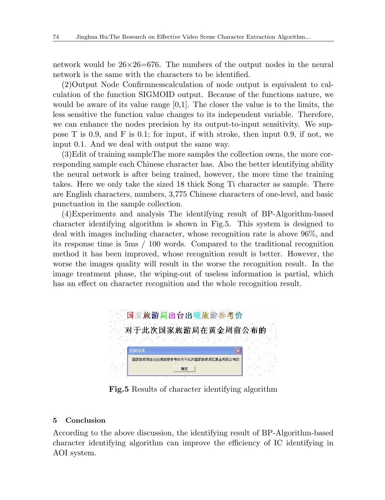network would be  $26\times26=676$ . The numbers of the output nodes in the neural network is the same with the characters to be identified.

(2)Output Node Confirmnesscalculation of node output is equivalent to calculation of the function SIGMOID output. Because of the functions nature, we would be aware of its value range  $[0,1]$ . The closer the value is to the limits, the less sensitive the function value changes to its independent variable. Therefore, we can enhance the nodes precision by its output-to-input sensitivity. We suppose T is 0.9, and F is 0.1; for input, if with stroke, then input 0.9, if not, we input 0.1. And we deal with output the same way.

(3)Edit of training sampleThe more samples the collection owns, the more corresponding sample each Chinese character has. Also the better identifying ability the neural network is after being trained, however, the more time the training takes. Here we only take the sized 18 thick Song Ti character as sample. There are English characters, numbers, 3,775 Chinese characters of one-level, and basic punctuation in the sample collection.

(4)Experiments and analysis The identifying result of BP-Algorithm-based character identifying algorithm is shown in Fig.5. This system is designed to deal with images including character, whose recognition rate is above 96%, and its response time is 5ms / 100 words. Compared to the traditional recognition method it has been improved, whose recognition result is better. However, the worse the images quality will result in the worse the recognition result. In the image treatment phase, the wiping-out of useless information is partial, which has an effect on character recognition and the whole recognition result.



**Fig.5** Results of character identifying algorithm

## **5 Conclusion**

According to the above discussion, the identifying result of BP-Algorithm-based character identifying algorithm can improve the efficiency of IC identifying in AOI system.